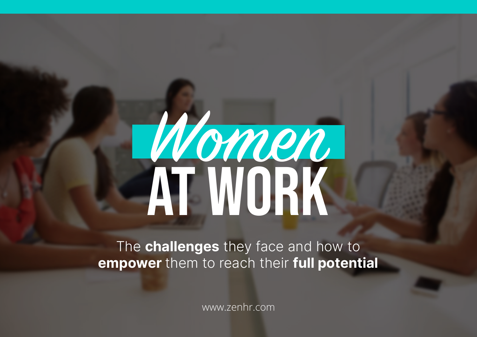# Wonen at Work

The **challenges** they face and how to **empower** them to reach their **full potential**

www.zenhr.com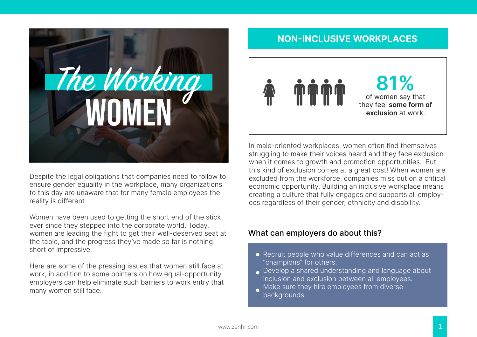

Despite the legal obligations that companies need to follow to ensure gender equality in the workplace, many organizations to this day are unaware that for many female employees the reality is different.

Women have been used to getting the short end of the stick ever since they stepped into the corporate world. Today, women are leading the fight to get their well-deserved seat at the table, and the progress they've made so far is nothing short of impressive.

Here are some of the pressing issues that women still face at work, in addition to some pointers on how equal-opportunity employers can help eliminate such barriers to work entry that many women still face.

#### **NON-INCLUSIVE WORKPLACES**



In male-oriented workplaces, women often find themselves struggling to make their voices heard and they face exclusion when it comes to growth and promotion opportunities. But this kind of exclusion comes at a great cost! When women are excluded from the workforce, companies miss out on a critical economic opportunity. Building an inclusive workplace means creating a culture that fully engages and supports all employees regardless of their gender, ethnicity and disability.

#### What can employers do about this?

- Recruit people who value differences and can act as "champions" for others.
- Develop a shared understanding and language about inclusion and exclusion between all employees.
- Make sure they hire employees from diverse backgrounds.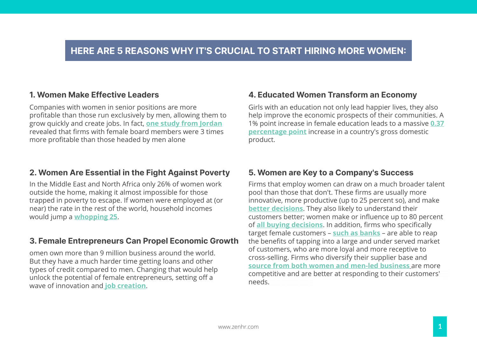#### **HERE ARE 5 REASONS WHY IT'S CRUCIAL TO START HIRING MORE WOMEN:**

#### **1. Women Make Effective Leaders**

Companies with women in senior positions are more profitable than those run exclusively by men, allowing them to grow quickly and create jobs. In fact, <u>one s**tudy from Jordan**</u> revealed that firms with female board members were 3 times more profitable than those headed by men alone https://medium.com/@IFC\_org/women-are-key-for-corporate-success-693fb6f10a5a

#### **2. Women Are Essential in the Fight Against Poverty**

In the Middle East and North Africa only 26% of women work outside the home, making it almost impossible for those trapped in poverty to escape. If women were employed at (or near) the rate in the rest of the world, household incomes would jump a **whopping 25**.

#### **3. Female Entrepreneurs Can Propel Economic Growth**

omen own more than 9 million business around the world. But they have a much harder time getting loans and other types of credit compared to men. Changing that would help unlock the potential of female entrepreneurs, setting off a wave of innovation and **job creation**. https://www.ifc.org/wps/web/229bb10432efde9814fc384c61d9fc384c61d9fc384c61d9fc384c61d9fc384c61d9fc384c61d9fc38

#### **4. Educated Women Transform an Economy**

Girls with an education not only lead happier lives, they also help improve the economic prospects of their communities. A 1% point increase in female education leads to a massive **0.37 percentage point** increase in a country's gross domestic product.

#### **5. Women are Key to a Company's Success**

Firms that employ women can draw on a much broader talent pool than those that don't. These firms are usually more innovative, more productive (up to 25 percent so), and make better decisions. They also likely to understand their customers better; women make or influence up to 80 percent of **all buying decisions**. In addition, firms who specifically target female customers – **such as banks** – are able to reap the benefits of tapping into a large and under served market of customers, who are more loyal and more receptive to cross-selling. Firms who diversify their supplier base and **source from both women and men-led business** are more competitive and are better at responding to their customers' needs. And a series of the series of the series of the series of the series of the series of the series of the  $\blacksquare$  wccipions, in addition,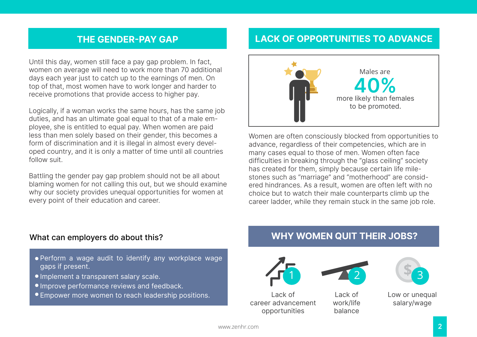#### **THE GENDER-PAY GAP**

Until this day, women still face a pay gap problem. In fact, women on average will need to work more than 70 additional days each year just to catch up to the earnings of men. On top of that, most women have to work longer and harder to receive promotions that provide access to higher pay.

Logically, if a woman works the same hours, has the same job duties, and has an ultimate goal equal to that of a male employee, she is entitled to equal pay. When women are paid less than men solely based on their gender, this becomes a form of discrimination and it is illegal in almost every developed country, and it is only a matter of time until all countries follow suit.

Battling the gender pay gap problem should not be all about blaming women for not calling this out, but we should examine why our society provides unequal opportunities for women at every point of their education and career.

#### **LACK OF OPPORTUNITIES TO ADVANCE**



Women are often consciously blocked from opportunities to advance, regardless of their competencies, which are in many cases equal to those of men. Women often face difficulties in breaking through the "glass ceiling" society has created for them, simply because certain life milestones such as "marriage" and "motherhood" are considered hindrances. As a result, women are often left with no choice but to watch their male counterparts climb up the career ladder, while they remain stuck in the same job role.

#### What can employers do about this?

- Perform a wage audit to identify any workplace wage gaps if present.
- Implement a transparent salary scale.
- Improve performance reviews and feedback.
- Empower more women to reach leadership positions.

#### **WHY WOMEN QUIT THEIR JOBS?**





Lack of career advancement opportunities



Lack of work/life balance

**\$** <sup>3</sup>

Low or unequal salary/wage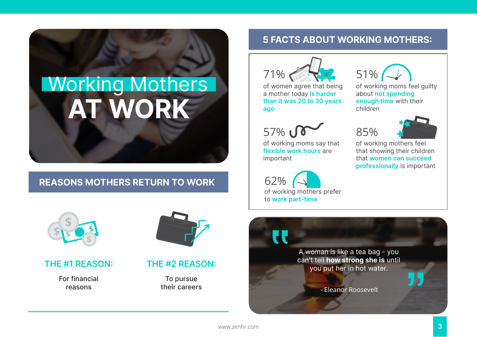# **AT WORK** Working Mothers

#### **REASONS MOTHERS RETURN TO WORK**



#### **THE #1 REASON:**

For financial reasons



#### **THE #2 REASON:**

To pursue their careers

#### **5 FACTS ABOUT WORKING MOTHERS:**



of women agree that being a mother today **is harder than it was 20 to 30 years ago**



of working moms say that **flexible work hours** are important

62% of working mothers prefer to **work part-time**

**"** 



85%

of working moms feel guilty about **not spending enough time** with their children



of working mothers feel that showing their children that **women can succeed professionally** is important

A woman is like a tea bag - you can't tell **how strong she is** until you put her in hot water.

- Eleanor Roosevelt

www.zenhr.com

"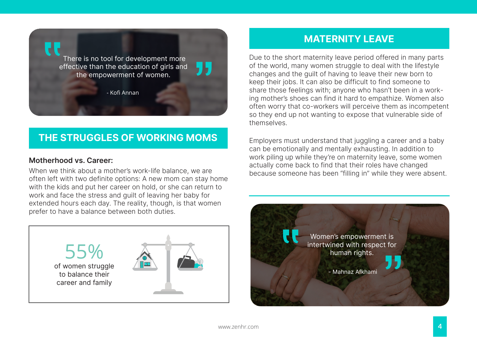

#### **THE STRUGGLES OF WORKING MOMS**

#### **Motherhood vs. Career:**

When we think about a mother's work-life balance, we are often left with two definite options: A new mom can stay home with the kids and put her career on hold, or she can return to work and face the stress and guilt of leaving her baby for extended hours each day. The reality, though, is that women prefer to have a balance between both duties.



#### **MATERNITY LEAVE**

Due to the short maternity leave period offered in many parts of the world, many women struggle to deal with the lifestyle changes and the guilt of having to leave their new born to keep their jobs. It can also be difficult to find someone to share those feelings with; anyone who hasn't been in a working mother's shoes can find it hard to empathize. Women also often worry that co-workers will perceive them as incompetent so they end up not wanting to expose that vulnerable side of themselves.

Employers must understand that juggling a career and a baby can be emotionally and mentally exhausting. In addition to work piling up while they're on maternity leave, some women actually come back to find that their roles have changed because someone has been "filling in" while they were absent.

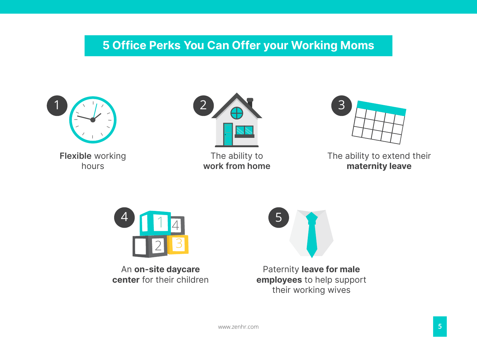### **5 Office Perks You Can Offer your Working Moms**





An **on-site daycare center** for their children

Paternity **leave for male employees** to help support their working wives